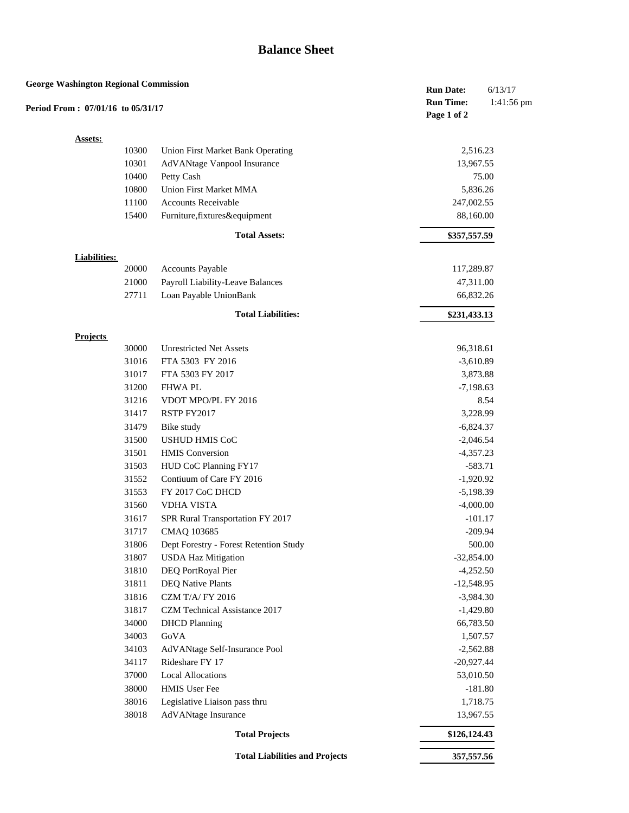## **Balance Sheet**

| <b>George Washington Regional Commission</b><br>6/13/17<br><b>Run Date:</b><br><b>Run Time:</b><br>Period From: 07/01/16 to 05/31/17<br>Page 1 of 2 |                          |                                          |              | 1:41:56 pm |
|-----------------------------------------------------------------------------------------------------------------------------------------------------|--------------------------|------------------------------------------|--------------|------------|
|                                                                                                                                                     | <b>Assets:</b>           |                                          |              |            |
|                                                                                                                                                     | 10300                    | <b>Union First Market Bank Operating</b> | 2,516.23     |            |
|                                                                                                                                                     | 10301                    | AdVANtage Vanpool Insurance              | 13,967.55    |            |
|                                                                                                                                                     | 10400                    | Petty Cash                               |              | 75.00      |
|                                                                                                                                                     | 10800                    | Union First Market MMA                   | 5,836.26     |            |
|                                                                                                                                                     | 11100                    | Accounts Receivable                      | 247,002.55   |            |
|                                                                                                                                                     | 15400                    | Furniture, fixtures&equipment            | 88,160.00    |            |
|                                                                                                                                                     |                          | <b>Total Assets:</b>                     | \$357,557.59 |            |
|                                                                                                                                                     | <b>Liabilities:</b>      |                                          |              |            |
|                                                                                                                                                     | 20000                    | <b>Accounts Payable</b>                  | 117,289.87   |            |
|                                                                                                                                                     | 21000                    | Payroll Liability-Leave Balances         | 47,311.00    |            |
|                                                                                                                                                     | 27711                    | Loan Payable UnionBank                   | 66,832.26    |            |
|                                                                                                                                                     |                          | <b>Total Liabilities:</b>                | \$231,433.13 |            |
|                                                                                                                                                     |                          |                                          |              |            |
|                                                                                                                                                     | <b>Projects</b><br>30000 | <b>Unrestricted Net Assets</b>           | 96,318.61    |            |
|                                                                                                                                                     | 31016                    | FTA 5303 FY 2016                         | $-3,610.89$  |            |
|                                                                                                                                                     | 31017                    | FTA 5303 FY 2017                         | 3,873.88     |            |
|                                                                                                                                                     | 31200                    | <b>FHWAPL</b>                            | $-7,198.63$  |            |
|                                                                                                                                                     | 31216                    | VDOT MPO/PL FY 2016                      |              | 8.54       |
|                                                                                                                                                     | 31417                    | RSTP FY2017                              | 3,228.99     |            |
|                                                                                                                                                     | 31479                    | Bike study                               | $-6,824.37$  |            |
|                                                                                                                                                     | 31500                    | <b>USHUD HMIS CoC</b>                    | $-2,046.54$  |            |
|                                                                                                                                                     | 31501                    | <b>HMIS</b> Conversion                   | $-4,357.23$  |            |
|                                                                                                                                                     | 31503                    | HUD CoC Planning FY17                    | $-583.71$    |            |
|                                                                                                                                                     | 31552                    | Contiuum of Care FY 2016                 | $-1,920.92$  |            |
|                                                                                                                                                     | 31553                    | FY 2017 CoC DHCD                         | $-5,198.39$  |            |
|                                                                                                                                                     | 31560                    | <b>VDHA VISTA</b>                        | $-4,000.00$  |            |
|                                                                                                                                                     | 31617                    | SPR Rural Transportation FY 2017         | $-101.17$    |            |
|                                                                                                                                                     | 31717                    | CMAO 103685                              | $-209.94$    |            |
|                                                                                                                                                     | 31806                    | Dept Forestry - Forest Retention Study   |              | 500.00     |
|                                                                                                                                                     | 31807                    | <b>USDA Haz Mitigation</b>               | $-32,854.00$ |            |
|                                                                                                                                                     | 31810                    | DEQ PortRoyal Pier                       | $-4,252.50$  |            |
|                                                                                                                                                     | 31811                    | <b>DEQ Native Plants</b>                 | $-12,548.95$ |            |
|                                                                                                                                                     | 31816                    | CZM T/A/ FY 2016                         | $-3,984.30$  |            |
|                                                                                                                                                     | 31817                    | CZM Technical Assistance 2017            | $-1,429.80$  |            |
|                                                                                                                                                     | 34000                    | <b>DHCD</b> Planning                     | 66,783.50    |            |
|                                                                                                                                                     | 34003                    | GoVA                                     | 1,507.57     |            |
|                                                                                                                                                     | 34103                    | AdVANtage Self-Insurance Pool            | $-2,562.88$  |            |
|                                                                                                                                                     | 34117                    | Rideshare FY 17                          | $-20,927.44$ |            |
|                                                                                                                                                     | 37000                    | <b>Local Allocations</b>                 | 53,010.50    |            |
|                                                                                                                                                     | 38000                    | <b>HMIS User Fee</b>                     | $-181.80$    |            |
|                                                                                                                                                     | 38016                    | Legislative Liaison pass thru            | 1,718.75     |            |
|                                                                                                                                                     | 38018                    | AdVANtage Insurance                      | 13,967.55    |            |
|                                                                                                                                                     |                          | <b>Total Projects</b>                    | \$126,124.43 |            |
|                                                                                                                                                     |                          | <b>Total Liabilities and Projects</b>    | 357,557.56   |            |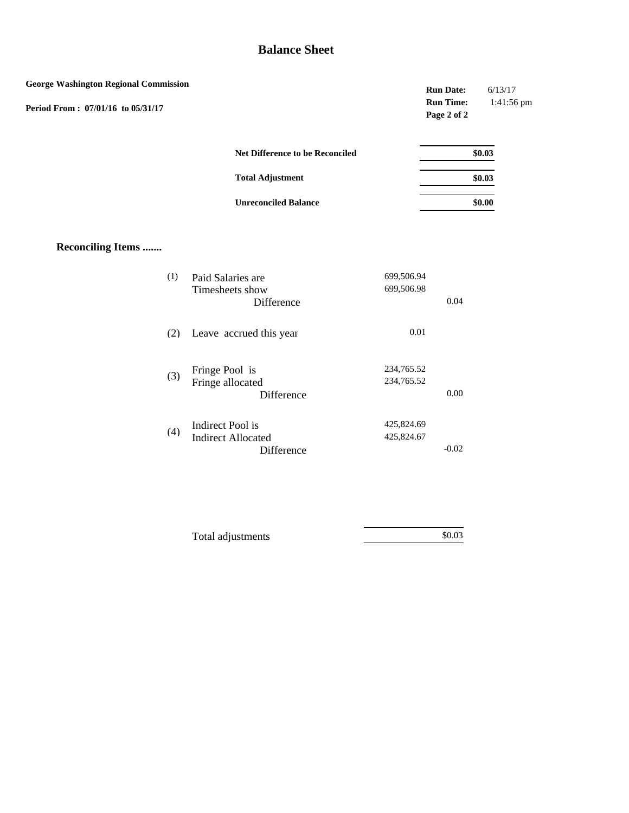## **Balance Sheet**

| <b>George Washington Regional Commission</b> |                                                                    |                          | <b>Run Date:</b><br><b>Run Time:</b> | 6/13/17<br>1:41:56 pm |
|----------------------------------------------|--------------------------------------------------------------------|--------------------------|--------------------------------------|-----------------------|
| Period From: 07/01/16 to 05/31/17            |                                                                    |                          | Page 2 of 2                          |                       |
|                                              | <b>Net Difference to be Reconciled</b>                             |                          |                                      | \$0.03                |
|                                              | <b>Total Adjustment</b>                                            |                          |                                      | \$0.03                |
|                                              | <b>Unreconciled Balance</b>                                        |                          |                                      | \$0.00                |
| <b>Reconciling Items </b>                    |                                                                    |                          |                                      |                       |
| (1)                                          | Paid Salaries are<br>Timesheets show<br>Difference                 | 699,506.94<br>699,506.98 | 0.04                                 |                       |
|                                              | Leave accrued this year<br>(2)                                     | 0.01                     |                                      |                       |
|                                              | Fringe Pool is<br>(3)<br>Fringe allocated<br>Difference            | 234,765.52<br>234,765.52 | 0.00                                 |                       |
|                                              | Indirect Pool is<br>(4)<br><b>Indirect Allocated</b><br>Difference | 425,824.69<br>425,824.67 | $-0.02$                              |                       |

\$0.03

Total adjustments